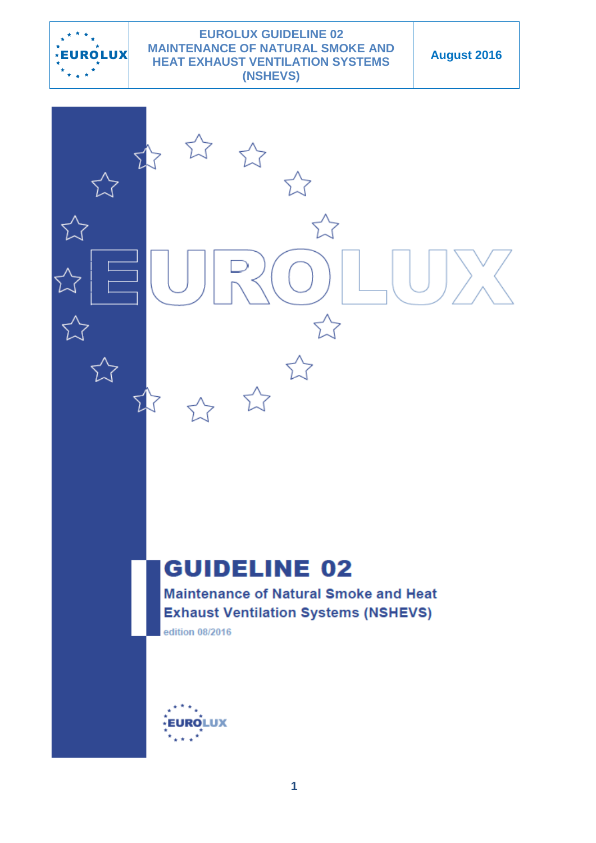

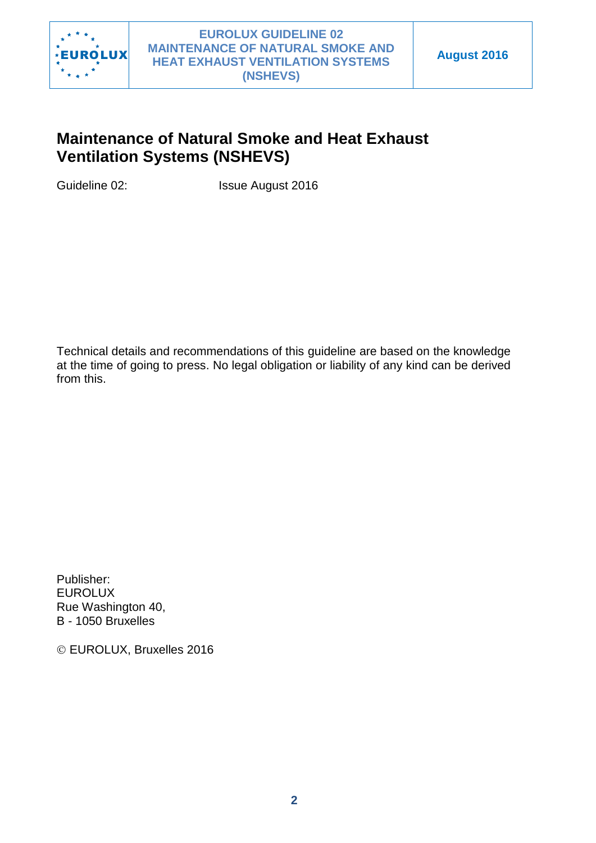

# **Maintenance of Natural Smoke and Heat Exhaust Ventilation Systems (NSHEVS)**

Guideline 02: Issue August 2016

Technical details and recommendations of this guideline are based on the knowledge at the time of going to press. No legal obligation or liability of any kind can be derived from this.

Publisher: EUROLUX Rue Washington 40, B - 1050 Bruxelles

EUROLUX, Bruxelles 2016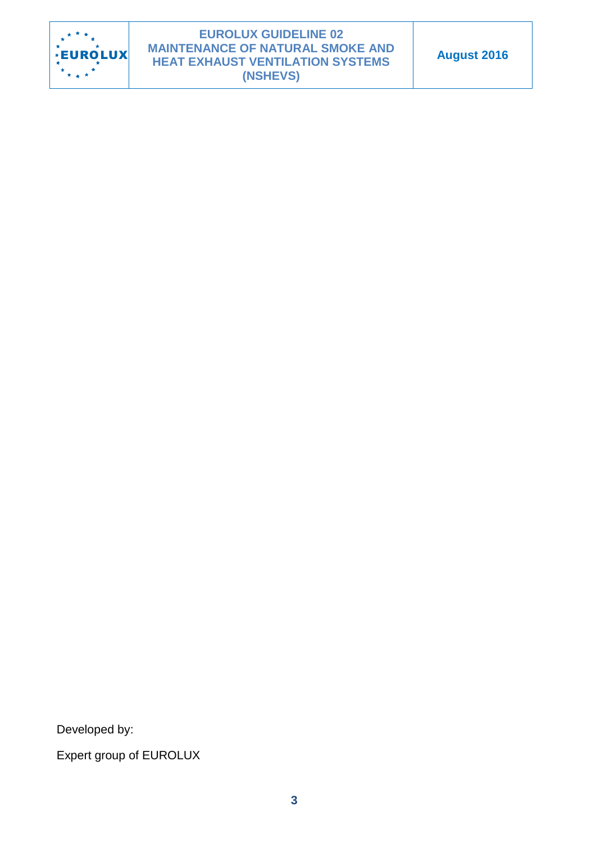

Developed by:

Expert group of EUROLUX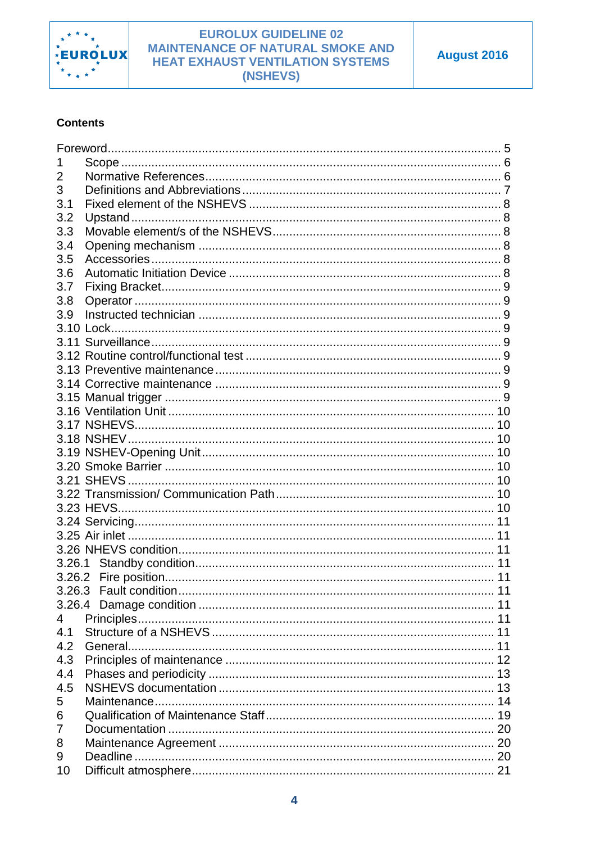

#### **Contents**

| 2   |                        |    |
|-----|------------------------|----|
| 3   |                        |    |
| 3.1 |                        |    |
| 3.2 |                        |    |
| 3.3 |                        |    |
|     |                        |    |
| 3.4 |                        |    |
| 3.5 |                        |    |
| 3.6 |                        |    |
| 3.7 |                        |    |
| 3.8 |                        |    |
| 3.9 |                        |    |
|     |                        |    |
|     |                        |    |
|     |                        |    |
|     |                        |    |
|     |                        |    |
|     |                        |    |
|     |                        |    |
|     |                        |    |
|     |                        |    |
|     |                        |    |
|     |                        |    |
|     |                        |    |
|     |                        |    |
|     |                        |    |
|     |                        |    |
|     |                        |    |
|     |                        |    |
|     |                        |    |
|     |                        |    |
|     |                        |    |
|     | 3.26.3 Fault condition | 11 |
|     |                        |    |
| 4   |                        |    |
| 4.1 |                        |    |
| 4.2 |                        |    |
| 4.3 |                        |    |
| 4.4 |                        |    |
| 4.5 |                        |    |
| 5   |                        |    |
| 6   |                        |    |
| 7   |                        |    |
| 8   |                        |    |
| 9   |                        |    |
|     |                        |    |
| 10  |                        |    |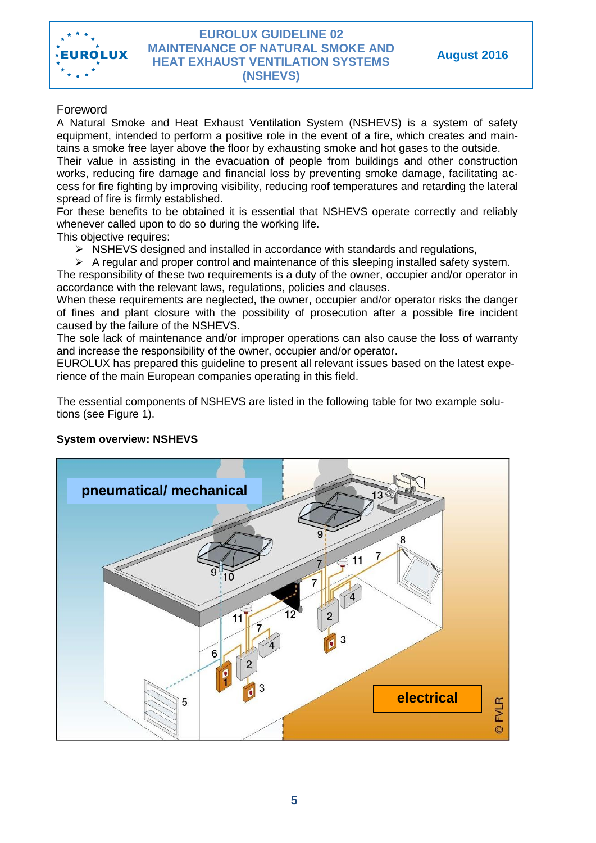

#### <span id="page-4-0"></span>Foreword

A Natural Smoke and Heat Exhaust Ventilation System (NSHEVS) is a system of safety equipment, intended to perform a positive role in the event of a fire, which creates and maintains a smoke free layer above the floor by exhausting smoke and hot gases to the outside. Their value in assisting in the evacuation of people from buildings and other construction works, reducing fire damage and financial loss by preventing smoke damage, facilitating access for fire fighting by improving visibility, reducing roof temperatures and retarding the lateral

spread of fire is firmly established.

For these benefits to be obtained it is essential that NSHEVS operate correctly and reliably whenever called upon to do so during the working life.

This objective requires:

 $\triangleright$  NSHEVS designed and installed in accordance with standards and regulations,

 $\triangleright$  A regular and proper control and maintenance of this sleeping installed safety system. The responsibility of these two requirements is a duty of the owner, occupier and/or operator in accordance with the relevant laws, regulations, policies and clauses.

When these requirements are neglected, the owner, occupier and/or operator risks the danger of fines and plant closure with the possibility of prosecution after a possible fire incident caused by the failure of the NSHEVS.

The sole lack of maintenance and/or improper operations can also cause the loss of warranty and increase the responsibility of the owner, occupier and/or operator.

EUROLUX has prepared this guideline to present all relevant issues based on the latest experience of the main European companies operating in this field.

The essential components of NSHEVS are listed in the following table for two example solutions (see Figure 1).

#### **System overview: NSHEVS**

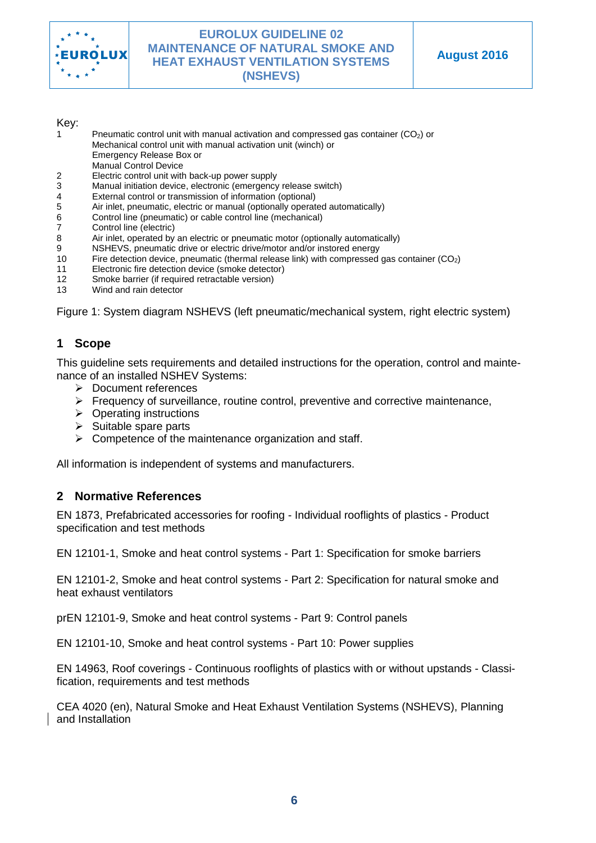

#### Key:

- Pneumatic control unit with manual activation and compressed gas container (CO<sub>2</sub>) or Mechanical control unit with manual activation unit (winch) or
	- Emergency Release Box or
- Manual Control Device
- 2 Electric control unit with back-up power supply
- Manual initiation device, electronic (emergency release switch)
- 4 External control or transmission of information (optional)
- 5 Air inlet, pneumatic, electric or manual (optionally operated automatically)
- 6 Control line (pneumatic) or cable control line (mechanical)
- 7 Control line (electric)
- 8 Air inlet, operated by an electric or pneumatic motor (optionally automatically)
- 9 NSHEVS, pneumatic drive or electric drive/motor and/or instored energy<br>10 Fire detection device, pneumatic (thermal release link) with compressed
- Fire detection device, pneumatic (thermal release link) with compressed gas container  $(CO<sub>2</sub>)$
- 11 Electronic fire detection device (smoke detector)
- 12 Smoke barrier (if required retractable version)
- 13 Wind and rain detector

Figure 1: System diagram NSHEVS (left pneumatic/mechanical system, right electric system)

# <span id="page-5-0"></span>**1 Scope**

This guideline sets requirements and detailed instructions for the operation, control and maintenance of an installed NSHEV Systems:

- > Document references
- $\triangleright$  Frequency of surveillance, routine control, preventive and corrective maintenance,
- $\triangleright$  Operating instructions
- $\triangleright$  Suitable spare parts
- $\triangleright$  Competence of the maintenance organization and staff.

All information is independent of systems and manufacturers.

### <span id="page-5-1"></span>**2 Normative References**

EN 1873, Prefabricated accessories for roofing - Individual rooflights of plastics - Product specification and test methods

EN 12101-1, Smoke and heat control systems - Part 1: Specification for smoke barriers

EN 12101-2, Smoke and heat control systems - Part 2: Specification for natural smoke and heat exhaust ventilators

prEN 12101-9, Smoke and heat control systems - Part 9: Control panels

EN 12101-10, Smoke and heat control systems - Part 10: Power supplies

EN 14963, Roof coverings - Continuous rooflights of plastics with or without upstands - Classification, requirements and test methods

CEA 4020 (en), Natural Smoke and Heat Exhaust Ventilation Systems (NSHEVS), Planning and Installation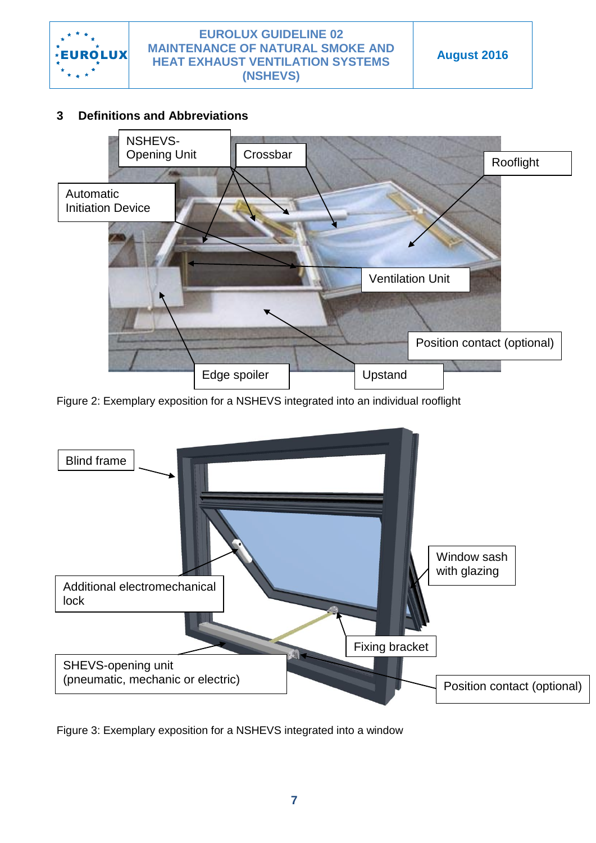

# <span id="page-6-0"></span>**3 Definitions and Abbreviations**



Figure 2: Exemplary exposition for a NSHEVS integrated into an individual rooflight



Figure 3: Exemplary exposition for a NSHEVS integrated into a window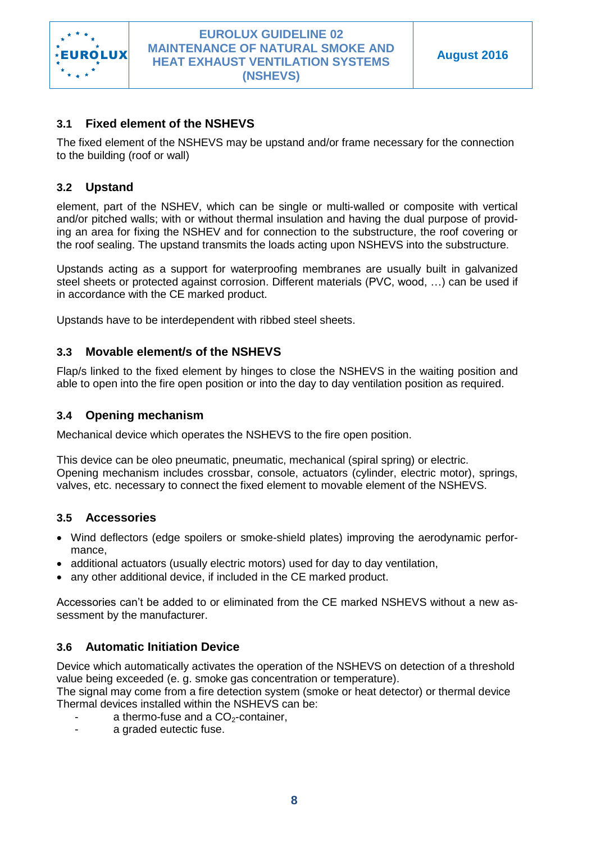

# <span id="page-7-0"></span>**3.1 Fixed element of the NSHEVS**

The fixed element of the NSHEVS may be upstand and/or frame necessary for the connection to the building (roof or wall)

# <span id="page-7-1"></span>**3.2 Upstand**

element, part of the NSHEV, which can be single or multi-walled or composite with vertical and/or pitched walls; with or without thermal insulation and having the dual purpose of providing an area for fixing the NSHEV and for connection to the substructure, the roof covering or the roof sealing. The upstand transmits the loads acting upon NSHEVS into the substructure.

Upstands acting as a support for waterproofing membranes are usually built in galvanized steel sheets or protected against corrosion. Different materials (PVC, wood, …) can be used if in accordance with the CE marked product.

Upstands have to be interdependent with ribbed steel sheets.

### <span id="page-7-2"></span>**3.3 Movable element/s of the NSHEVS**

Flap/s linked to the fixed element by hinges to close the NSHEVS in the waiting position and able to open into the fire open position or into the day to day ventilation position as required.

### <span id="page-7-3"></span>**3.4 Opening mechanism**

Mechanical device which operates the NSHEVS to the fire open position.

This device can be oleo pneumatic, pneumatic, mechanical (spiral spring) or electric. Opening mechanism includes crossbar, console, actuators (cylinder, electric motor), springs, valves, etc. necessary to connect the fixed element to movable element of the NSHEVS.

### <span id="page-7-4"></span>**3.5 Accessories**

- Wind deflectors (edge spoilers or smoke-shield plates) improving the aerodynamic performance,
- additional actuators (usually electric motors) used for day to day ventilation,
- any other additional device, if included in the CE marked product.

Accessories can't be added to or eliminated from the CE marked NSHEVS without a new assessment by the manufacturer.

### <span id="page-7-5"></span>**3.6 Automatic Initiation Device**

Device which automatically activates the operation of the NSHEVS on detection of a threshold value being exceeded (e. g. smoke gas concentration or temperature).

The signal may come from a fire detection system (smoke or heat detector) or thermal device Thermal devices installed within the NSHEVS can be:

- a thermo-fuse and a  $CO<sub>2</sub>$ -container,
- a graded eutectic fuse.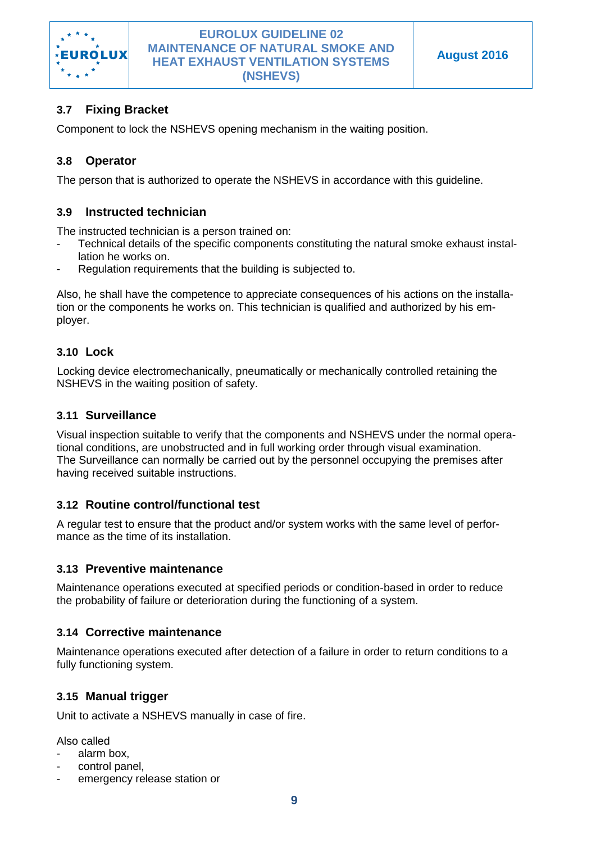

# <span id="page-8-0"></span>**3.7 Fixing Bracket**

Component to lock the NSHEVS opening mechanism in the waiting position.

# <span id="page-8-1"></span>**3.8 Operator**

The person that is authorized to operate the NSHEVS in accordance with this guideline.

### <span id="page-8-2"></span>**3.9 Instructed technician**

The instructed technician is a person trained on:

- Technical details of the specific components constituting the natural smoke exhaust installation he works on.
- Regulation requirements that the building is subjected to.

Also, he shall have the competence to appreciate consequences of his actions on the installation or the components he works on. This technician is qualified and authorized by his employer.

#### <span id="page-8-3"></span>**3.10 Lock**

Locking device electromechanically, pneumatically or mechanically controlled retaining the NSHEVS in the waiting position of safety.

### <span id="page-8-4"></span>**3.11 Surveillance**

Visual inspection suitable to verify that the components and NSHEVS under the normal operational conditions, are unobstructed and in full working order through visual examination. The Surveillance can normally be carried out by the personnel occupying the premises after having received suitable instructions.

### <span id="page-8-5"></span>**3.12 Routine control/functional test**

A regular test to ensure that the product and/or system works with the same level of performance as the time of its installation.

#### <span id="page-8-6"></span>**3.13 Preventive maintenance**

Maintenance operations executed at specified periods or condition-based in order to reduce the probability of failure or deterioration during the functioning of a system.

#### <span id="page-8-7"></span>**3.14 Corrective maintenance**

Maintenance operations executed after detection of a failure in order to return conditions to a fully functioning system.

### <span id="page-8-8"></span>**3.15 Manual trigger**

Unit to activate a NSHEVS manually in case of fire.

Also called

- alarm box.
- control panel,
- emergency release station or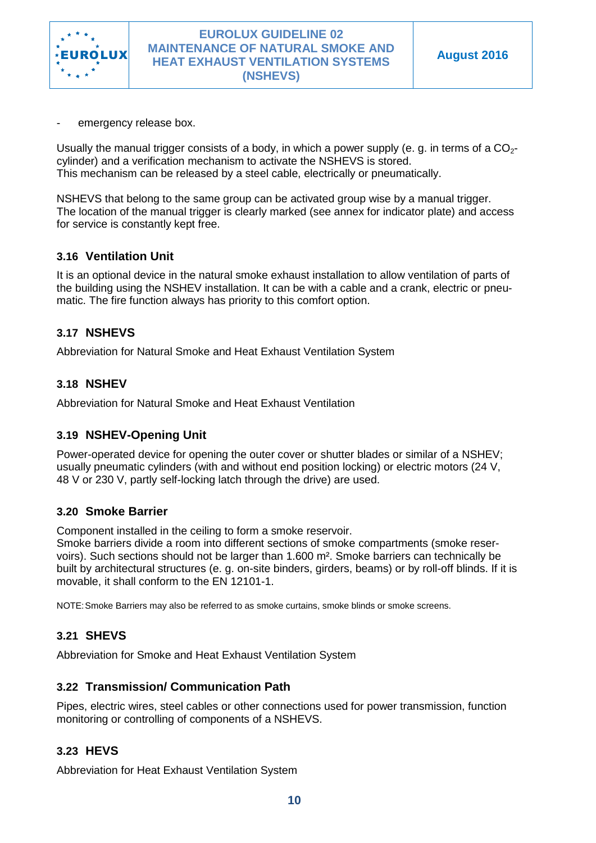

emergency release box.

Usually the manual trigger consists of a body, in which a power supply (e. g. in terms of a  $CO<sub>2</sub>$ cylinder) and a verification mechanism to activate the NSHEVS is stored. This mechanism can be released by a steel cable, electrically or pneumatically.

NSHEVS that belong to the same group can be activated group wise by a manual trigger. The location of the manual trigger is clearly marked (see annex for indicator plate) and access for service is constantly kept free.

### <span id="page-9-0"></span>**3.16 Ventilation Unit**

It is an optional device in the natural smoke exhaust installation to allow ventilation of parts of the building using the NSHEV installation. It can be with a cable and a crank, electric or pneumatic. The fire function always has priority to this comfort option.

### <span id="page-9-1"></span>**3.17 NSHEVS**

Abbreviation for Natural Smoke and Heat Exhaust Ventilation System

### <span id="page-9-2"></span>**3.18 NSHEV**

Abbreviation for Natural Smoke and Heat Exhaust Ventilation

### <span id="page-9-3"></span>**3.19 NSHEV-Opening Unit**

Power-operated device for opening the outer cover or shutter blades or similar of a NSHEV; usually pneumatic cylinders (with and without end position locking) or electric motors (24 V, 48 V or 230 V, partly self-locking latch through the drive) are used.

#### <span id="page-9-4"></span>**3.20 Smoke Barrier**

Component installed in the ceiling to form a smoke reservoir.

Smoke barriers divide a room into different sections of smoke compartments (smoke reservoirs). Such sections should not be larger than 1.600 m². Smoke barriers can technically be built by architectural structures (e. g. on-site binders, girders, beams) or by roll-off blinds. If it is movable, it shall conform to the EN 12101-1.

NOTE:Smoke Barriers may also be referred to as smoke curtains, smoke blinds or smoke screens.

### <span id="page-9-5"></span>**3.21 SHEVS**

Abbreviation for Smoke and Heat Exhaust Ventilation System

#### <span id="page-9-6"></span>**3.22 Transmission/ Communication Path**

Pipes, electric wires, steel cables or other connections used for power transmission, function monitoring or controlling of components of a NSHEVS.

### <span id="page-9-7"></span>**3.23 HEVS**

Abbreviation for Heat Exhaust Ventilation System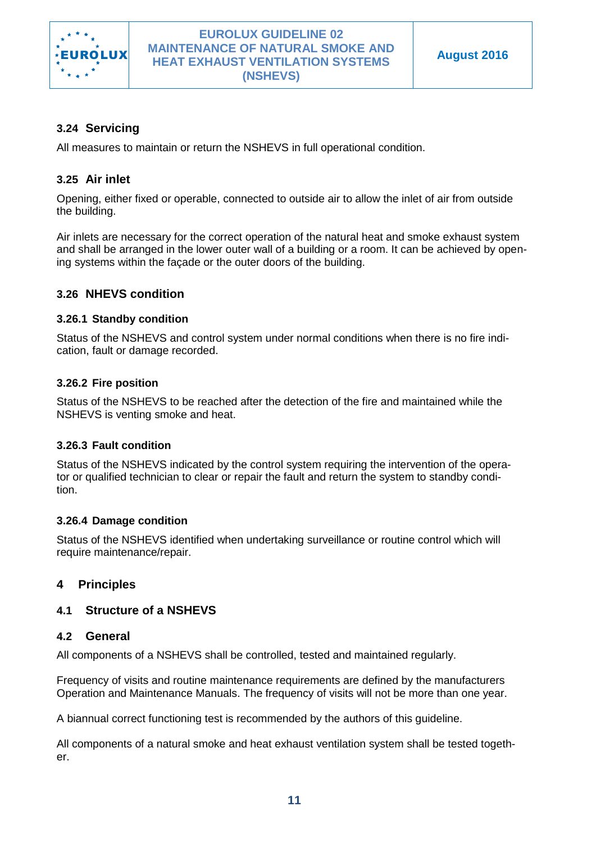

# <span id="page-10-0"></span>**3.24 Servicing**

All measures to maintain or return the NSHEVS in full operational condition.

# <span id="page-10-1"></span>**3.25 Air inlet**

Opening, either fixed or operable, connected to outside air to allow the inlet of air from outside the building.

Air inlets are necessary for the correct operation of the natural heat and smoke exhaust system and shall be arranged in the lower outer wall of a building or a room. It can be achieved by opening systems within the façade or the outer doors of the building.

### <span id="page-10-2"></span>**3.26 NHEVS condition**

#### <span id="page-10-3"></span>**3.26.1 Standby condition**

Status of the NSHEVS and control system under normal conditions when there is no fire indication, fault or damage recorded.

#### <span id="page-10-4"></span>**3.26.2 Fire position**

Status of the NSHEVS to be reached after the detection of the fire and maintained while the NSHEVS is venting smoke and heat.

### <span id="page-10-5"></span>**3.26.3 Fault condition**

Status of the NSHEVS indicated by the control system requiring the intervention of the operator or qualified technician to clear or repair the fault and return the system to standby condition.

### <span id="page-10-6"></span>**3.26.4 Damage condition**

Status of the NSHEVS identified when undertaking surveillance or routine control which will require maintenance/repair.

### <span id="page-10-7"></span>**4 Principles**

### <span id="page-10-8"></span>**4.1 Structure of a NSHEVS**

#### <span id="page-10-9"></span>**4.2 General**

All components of a NSHEVS shall be controlled, tested and maintained regularly.

Frequency of visits and routine maintenance requirements are defined by the manufacturers Operation and Maintenance Manuals. The frequency of visits will not be more than one year.

A biannual correct functioning test is recommended by the authors of this guideline.

All components of a natural smoke and heat exhaust ventilation system shall be tested together.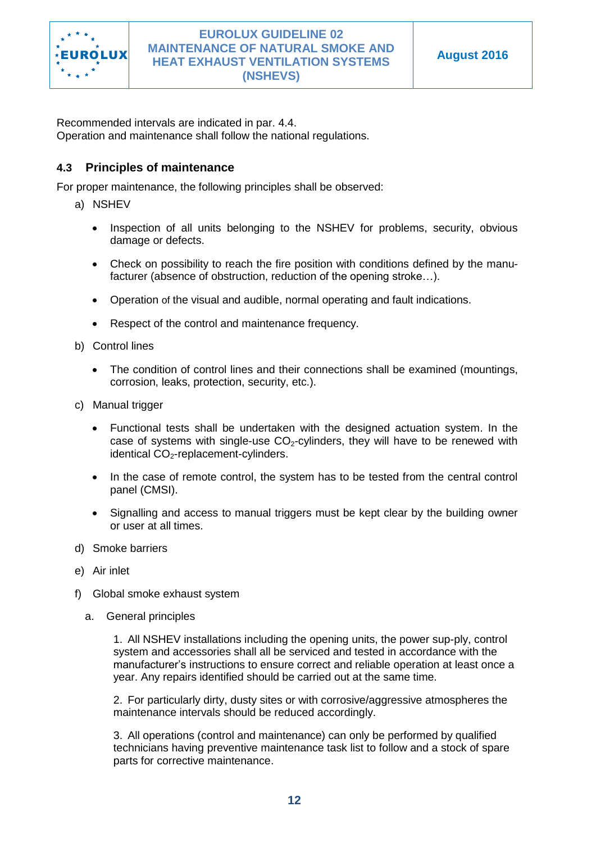

Recommended intervals are indicated in par. 4.4. Operation and maintenance shall follow the national regulations.

### <span id="page-11-0"></span>**4.3 Principles of maintenance**

For proper maintenance, the following principles shall be observed:

- a) NSHEV
	- Inspection of all units belonging to the NSHEV for problems, security, obvious damage or defects.
	- Check on possibility to reach the fire position with conditions defined by the manufacturer (absence of obstruction, reduction of the opening stroke…).
	- Operation of the visual and audible, normal operating and fault indications.
	- Respect of the control and maintenance frequency.
- b) Control lines
	- The condition of control lines and their connections shall be examined (mountings, corrosion, leaks, protection, security, etc.).
- c) Manual trigger
	- Functional tests shall be undertaken with the designed actuation system. In the case of systems with single-use  $CO<sub>2</sub>$ -cylinders, they will have to be renewed with identical  $CO<sub>2</sub>$ -replacement-cylinders.
	- In the case of remote control, the system has to be tested from the central control panel (CMSI).
	- Signalling and access to manual triggers must be kept clear by the building owner or user at all times.
- d) Smoke barriers
- e) Air inlet
- f) Global smoke exhaust system
	- a. General principles

1. All NSHEV installations including the opening units, the power sup-ply, control system and accessories shall all be serviced and tested in accordance with the manufacturer's instructions to ensure correct and reliable operation at least once a year. Any repairs identified should be carried out at the same time.

2. For particularly dirty, dusty sites or with corrosive/aggressive atmospheres the maintenance intervals should be reduced accordingly.

3. All operations (control and maintenance) can only be performed by qualified technicians having preventive maintenance task list to follow and a stock of spare parts for corrective maintenance.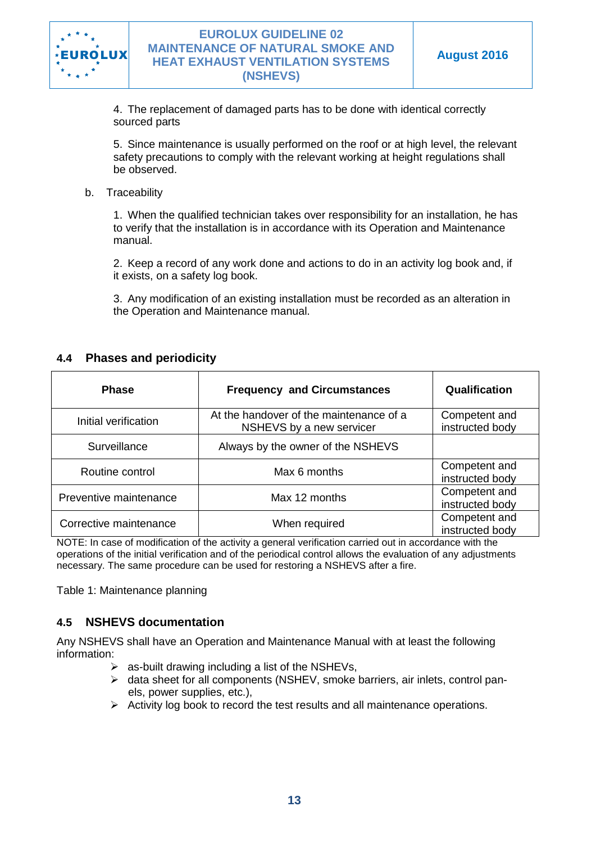

4. The replacement of damaged parts has to be done with identical correctly sourced parts

5. Since maintenance is usually performed on the roof or at high level, the relevant safety precautions to comply with the relevant working at height regulations shall be observed.

b. Traceability

1. When the qualified technician takes over responsibility for an installation, he has to verify that the installation is in accordance with its Operation and Maintenance manual.

2. Keep a record of any work done and actions to do in an activity log book and, if it exists, on a safety log book.

3. Any modification of an existing installation must be recorded as an alteration in the Operation and Maintenance manual.

### <span id="page-12-0"></span>**4.4 Phases and periodicity**

| <b>Phase</b>           | <b>Frequency and Circumstances</b>                                  | Qualification                    |
|------------------------|---------------------------------------------------------------------|----------------------------------|
| Initial verification   | At the handover of the maintenance of a<br>NSHEVS by a new servicer | Competent and<br>instructed body |
| Surveillance           | Always by the owner of the NSHEVS                                   |                                  |
| Routine control        | Max 6 months                                                        | Competent and<br>instructed body |
| Preventive maintenance | Max 12 months                                                       | Competent and<br>instructed body |
| Corrective maintenance | When required                                                       | Competent and<br>instructed body |

NOTE: In case of modification of the activity a general verification carried out in accordance with the operations of the initial verification and of the periodical control allows the evaluation of any adjustments necessary. The same procedure can be used for restoring a NSHEVS after a fire.

Table 1: Maintenance planning

### <span id="page-12-1"></span>**4.5 NSHEVS documentation**

Any NSHEVS shall have an Operation and Maintenance Manual with at least the following information:

- $\triangleright$  as-built drawing including a list of the NSHEVs,
- $\triangleright$  data sheet for all components (NSHEV, smoke barriers, air inlets, control panels, power supplies, etc.),
- $\triangleright$  Activity log book to record the test results and all maintenance operations.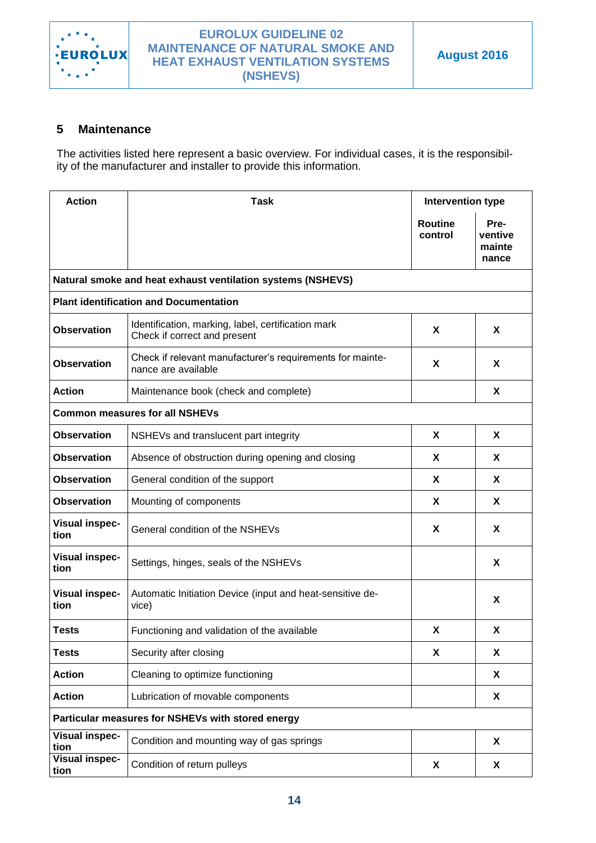

# <span id="page-13-0"></span>**5 Maintenance**

The activities listed here represent a basic overview. For individual cases, it is the responsibility of the manufacturer and installer to provide this information.

| <b>Action</b>                                     | <b>Task</b>                                                                        | Intervention type         |                                    |
|---------------------------------------------------|------------------------------------------------------------------------------------|---------------------------|------------------------------------|
|                                                   |                                                                                    | <b>Routine</b><br>control | Pre-<br>ventive<br>mainte<br>nance |
|                                                   | Natural smoke and heat exhaust ventilation systems (NSHEVS)                        |                           |                                    |
|                                                   | <b>Plant identification and Documentation</b>                                      |                           |                                    |
| <b>Observation</b>                                | Identification, marking, label, certification mark<br>Check if correct and present | X                         | X                                  |
| <b>Observation</b>                                | Check if relevant manufacturer's requirements for mainte-<br>nance are available   | X                         | X                                  |
| <b>Action</b>                                     | Maintenance book (check and complete)                                              |                           | X                                  |
|                                                   | <b>Common measures for all NSHEVs</b>                                              |                           |                                    |
| <b>Observation</b>                                | NSHEVs and translucent part integrity                                              | X                         | X                                  |
| <b>Observation</b>                                | Absence of obstruction during opening and closing                                  | X                         | X                                  |
| <b>Observation</b>                                | General condition of the support                                                   | X                         | X                                  |
| <b>Observation</b>                                | Mounting of components                                                             | X                         | X                                  |
| <b>Visual inspec-</b><br>tion                     | General condition of the NSHEVs                                                    | X                         | X                                  |
| <b>Visual inspec-</b><br>tion                     | Settings, hinges, seals of the NSHEVs                                              |                           | X                                  |
| <b>Visual inspec-</b><br>tion                     | Automatic Initiation Device (input and heat-sensitive de-<br>vice)                 |                           | X                                  |
| <b>Tests</b>                                      | Functioning and validation of the available                                        | X                         | X                                  |
| <b>Tests</b>                                      | Security after closing                                                             | X                         | X                                  |
| <b>Action</b>                                     | Cleaning to optimize functioning                                                   |                           | X                                  |
| <b>Action</b>                                     | Lubrication of movable components                                                  |                           | X                                  |
| Particular measures for NSHEVs with stored energy |                                                                                    |                           |                                    |
| <b>Visual inspec-</b><br>tion                     | Condition and mounting way of gas springs                                          |                           | X                                  |
| <b>Visual inspec-</b><br>tion                     | Condition of return pulleys                                                        | X                         | X                                  |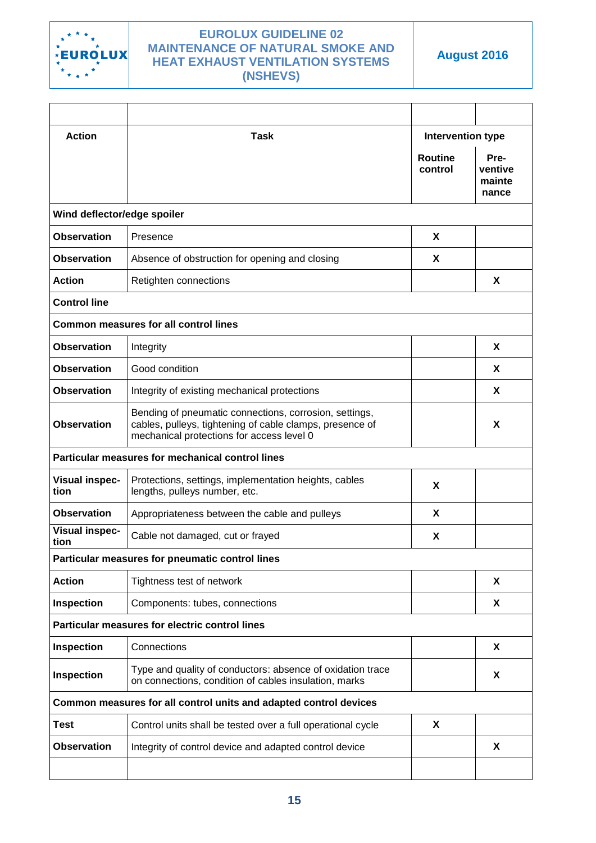

**Action Task Intervention type Routine control Preventive mainte nance Wind deflector/edge spoiler Observation** Presence **X Observation** Absence of obstruction for opening and closing **X** Action Retighten connections **X X Control line Common measures for all control lines Observation** Integrity **X Observation** Good condition **X X Observation** Integrity of existing mechanical protections **X** A **Observation** Bending of pneumatic connections, corrosion, settings, cables, pulleys, tightening of cable clamps, presence of mechanical protections for access level 0 **X Particular measures for mechanical control lines Visual inspection** Protections, settings, implementation heights, cables Protections, settings, implementation neights, cables<br>lengths, pulleys number, etc. **Observation** Appropriateness between the cable and pulleys **X Visual inspection** Cable not damaged, cut or frayed **X Particular measures for pneumatic control lines Action** Tightness test of network **X X Inspection** Components: tubes, connections **X X Particular measures for electric control lines Inspection** Connections **X Inspection** Type and quality of conductors: absence of oxidation trace on connections, condition of cables insulation, marks **<sup>X</sup> Common measures for all control units and adapted control devices Test**  $\vert$  Control units shall be tested over a full operational cycle  $\vert$  **X Observation** Integrity of control device and adapted control device **X**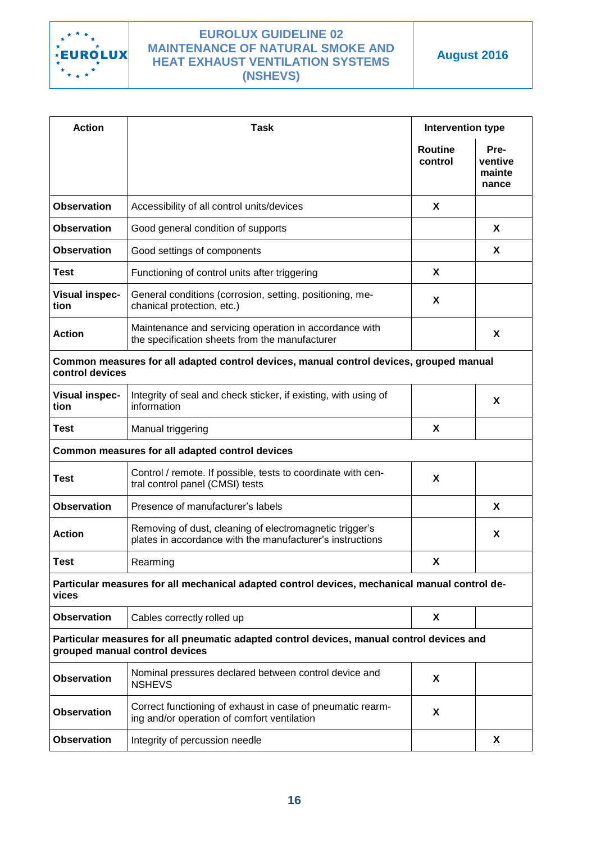

| <b>Action</b>                                                                                                               | Task                                                                                                                 | Intervention type         |                                    |
|-----------------------------------------------------------------------------------------------------------------------------|----------------------------------------------------------------------------------------------------------------------|---------------------------|------------------------------------|
|                                                                                                                             |                                                                                                                      | <b>Routine</b><br>control | Pre-<br>ventive<br>mainte<br>nance |
| <b>Observation</b>                                                                                                          | Accessibility of all control units/devices                                                                           | X                         |                                    |
| <b>Observation</b>                                                                                                          | Good general condition of supports                                                                                   |                           | X                                  |
| <b>Observation</b>                                                                                                          | Good settings of components                                                                                          |                           | X                                  |
| <b>Test</b>                                                                                                                 | Functioning of control units after triggering                                                                        | X                         |                                    |
| <b>Visual inspec-</b><br>tion                                                                                               | General conditions (corrosion, setting, positioning, me-<br>chanical protection, etc.)                               | X                         |                                    |
| <b>Action</b>                                                                                                               | Maintenance and servicing operation in accordance with<br>the specification sheets from the manufacturer             |                           | X                                  |
| control devices                                                                                                             | Common measures for all adapted control devices, manual control devices, grouped manual                              |                           |                                    |
| <b>Visual inspec-</b><br>tion                                                                                               | Integrity of seal and check sticker, if existing, with using of<br>information                                       |                           | X                                  |
| <b>Test</b>                                                                                                                 | Manual triggering                                                                                                    | X                         |                                    |
|                                                                                                                             | Common measures for all adapted control devices                                                                      |                           |                                    |
| <b>Test</b>                                                                                                                 | Control / remote. If possible, tests to coordinate with cen-<br>tral control panel (CMSI) tests                      | X                         |                                    |
| <b>Observation</b>                                                                                                          | Presence of manufacturer's labels                                                                                    |                           | X                                  |
| <b>Action</b>                                                                                                               | Removing of dust, cleaning of electromagnetic trigger's<br>plates in accordance with the manufacturer's instructions |                           | X                                  |
| Test                                                                                                                        | Rearming                                                                                                             | x                         |                                    |
| vices                                                                                                                       | Particular measures for all mechanical adapted control devices, mechanical manual control de-                        |                           |                                    |
| <b>Observation</b>                                                                                                          | Cables correctly rolled up                                                                                           | X                         |                                    |
| Particular measures for all pneumatic adapted control devices, manual control devices and<br>grouped manual control devices |                                                                                                                      |                           |                                    |
| <b>Observation</b>                                                                                                          | Nominal pressures declared between control device and<br><b>NSHEVS</b>                                               | X                         |                                    |
| <b>Observation</b>                                                                                                          | Correct functioning of exhaust in case of pneumatic rearm-<br>ing and/or operation of comfort ventilation            | X                         |                                    |
| <b>Observation</b>                                                                                                          | Integrity of percussion needle                                                                                       |                           | X                                  |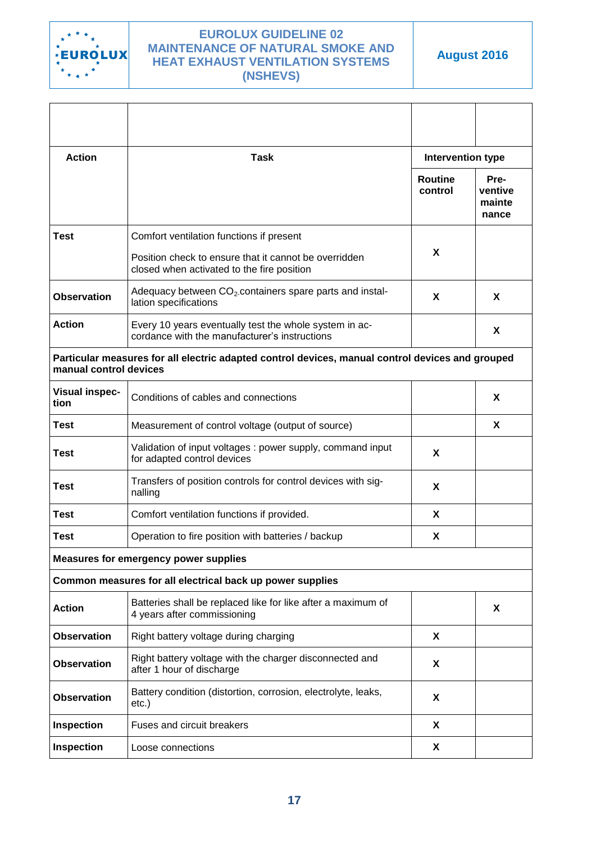

| <b>Action</b>                 | <b>Task</b>                                                                                             | Intervention type         |                                    |
|-------------------------------|---------------------------------------------------------------------------------------------------------|---------------------------|------------------------------------|
|                               |                                                                                                         | <b>Routine</b><br>control | Pre-<br>ventive<br>mainte<br>nance |
| <b>Test</b>                   | Comfort ventilation functions if present                                                                |                           |                                    |
|                               | Position check to ensure that it cannot be overridden<br>closed when activated to the fire position     | X                         |                                    |
| <b>Observation</b>            | Adequacy between CO <sub>2</sub> containers spare parts and instal-<br>lation specifications            | X                         | X                                  |
| <b>Action</b>                 | Every 10 years eventually test the whole system in ac-<br>cordance with the manufacturer's instructions |                           | X                                  |
| manual control devices        | Particular measures for all electric adapted control devices, manual control devices and grouped        |                           |                                    |
| <b>Visual inspec-</b><br>tion | Conditions of cables and connections                                                                    |                           | X                                  |
| Test                          | Measurement of control voltage (output of source)                                                       |                           | X                                  |
| <b>Test</b>                   | Validation of input voltages: power supply, command input<br>for adapted control devices                | X                         |                                    |
| <b>Test</b>                   | Transfers of position controls for control devices with sig-<br>nalling                                 | X                         |                                    |
| Test                          | Comfort ventilation functions if provided.                                                              | X                         |                                    |
| <b>Test</b>                   | Operation to fire position with batteries / backup                                                      | X                         |                                    |
|                               | <b>Measures for emergency power supplies</b>                                                            |                           |                                    |
|                               | Common measures for all electrical back up power supplies                                               |                           |                                    |
| <b>Action</b>                 | Batteries shall be replaced like for like after a maximum of<br>4 years after commissioning             |                           | X                                  |
| <b>Observation</b>            | Right battery voltage during charging                                                                   | X                         |                                    |
| <b>Observation</b>            | Right battery voltage with the charger disconnected and<br>after 1 hour of discharge                    | X                         |                                    |
| <b>Observation</b>            | Battery condition (distortion, corrosion, electrolyte, leaks,<br>etc.)                                  | X                         |                                    |
| <b>Inspection</b>             | <b>Fuses and circuit breakers</b>                                                                       | X                         |                                    |
| Inspection                    | Loose connections                                                                                       | X                         |                                    |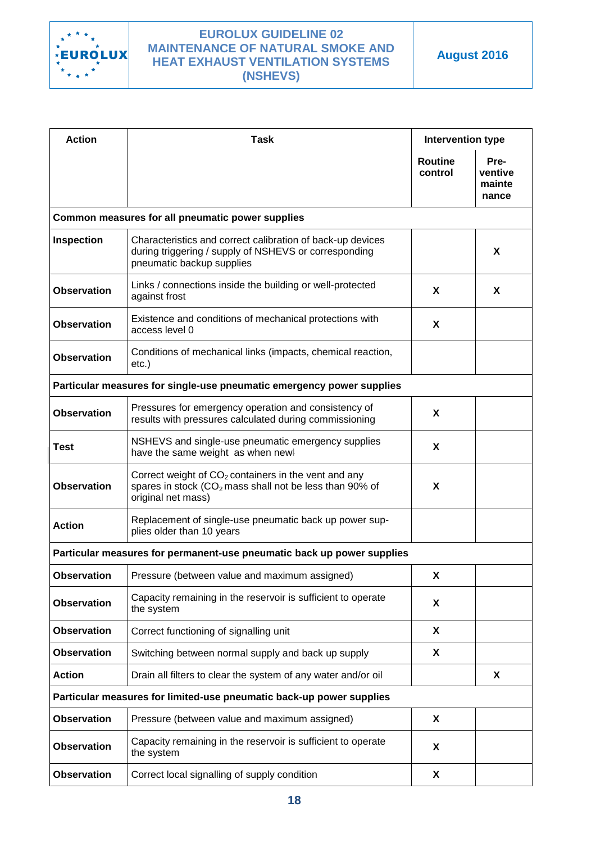

| <b>Action</b>      | <b>Task</b>                                                                                                                                      | <b>Intervention type</b>  |                                    |
|--------------------|--------------------------------------------------------------------------------------------------------------------------------------------------|---------------------------|------------------------------------|
|                    |                                                                                                                                                  | <b>Routine</b><br>control | Pre-<br>ventive<br>mainte<br>nance |
|                    | Common measures for all pneumatic power supplies                                                                                                 |                           |                                    |
| Inspection         | Characteristics and correct calibration of back-up devices<br>during triggering / supply of NSHEVS or corresponding<br>pneumatic backup supplies |                           | X                                  |
| <b>Observation</b> | Links / connections inside the building or well-protected<br>against frost                                                                       | X                         | X                                  |
| <b>Observation</b> | Existence and conditions of mechanical protections with<br>access level 0                                                                        | X                         |                                    |
| <b>Observation</b> | Conditions of mechanical links (impacts, chemical reaction,<br>etc.)                                                                             |                           |                                    |
|                    | Particular measures for single-use pneumatic emergency power supplies                                                                            |                           |                                    |
| <b>Observation</b> | Pressures for emergency operation and consistency of<br>results with pressures calculated during commissioning                                   | X                         |                                    |
| <b>Test</b>        | NSHEVS and single-use pneumatic emergency supplies<br>have the same weight as when new!                                                          | X                         |                                    |
| <b>Observation</b> | Correct weight of $CO2$ containers in the vent and any<br>spares in stock $(CO2$ mass shall not be less than 90% of<br>original net mass)        | X                         |                                    |
| <b>Action</b>      | Replacement of single-use pneumatic back up power sup-<br>plies older than 10 years                                                              |                           |                                    |
|                    | Particular measures for permanent-use pneumatic back up power supplies                                                                           |                           |                                    |
| <b>Observation</b> | Pressure (between value and maximum assigned)                                                                                                    | X                         |                                    |
| <b>Observation</b> | Capacity remaining in the reservoir is sufficient to operate<br>the system                                                                       | X                         |                                    |
| <b>Observation</b> | Correct functioning of signalling unit                                                                                                           | X                         |                                    |
| <b>Observation</b> | Switching between normal supply and back up supply                                                                                               | X                         |                                    |
| <b>Action</b>      | Drain all filters to clear the system of any water and/or oil                                                                                    |                           | X                                  |
|                    | Particular measures for limited-use pneumatic back-up power supplies                                                                             |                           |                                    |
| <b>Observation</b> | Pressure (between value and maximum assigned)                                                                                                    | X                         |                                    |
| <b>Observation</b> | Capacity remaining in the reservoir is sufficient to operate<br>the system                                                                       | X                         |                                    |
| <b>Observation</b> | Correct local signalling of supply condition                                                                                                     | X                         |                                    |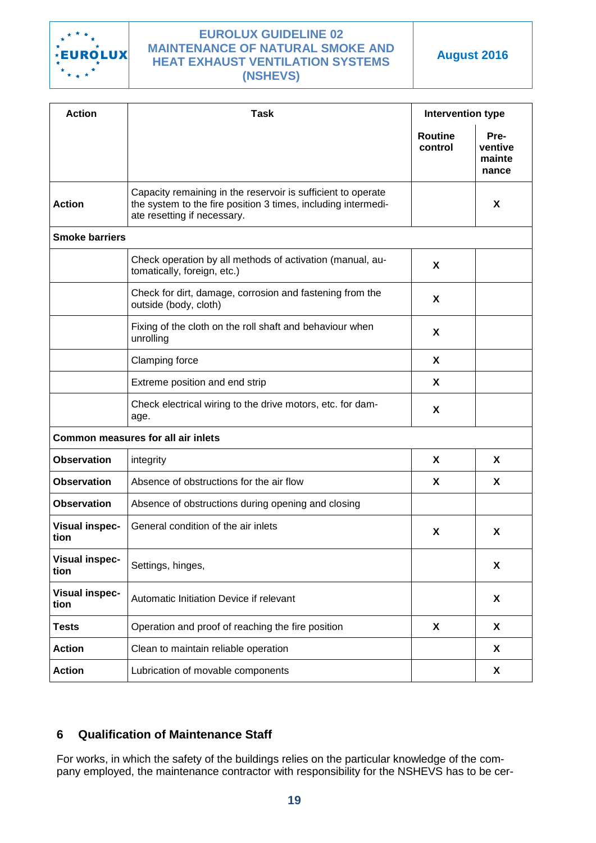

**August 2016**

| <b>Action</b>                 | <b>Task</b>                                                                                                                                                  | <b>Intervention type</b>  |                                    |
|-------------------------------|--------------------------------------------------------------------------------------------------------------------------------------------------------------|---------------------------|------------------------------------|
|                               |                                                                                                                                                              | <b>Routine</b><br>control | Pre-<br>ventive<br>mainte<br>nance |
| <b>Action</b>                 | Capacity remaining in the reservoir is sufficient to operate<br>the system to the fire position 3 times, including intermedi-<br>ate resetting if necessary. |                           | X                                  |
| <b>Smoke barriers</b>         |                                                                                                                                                              |                           |                                    |
|                               | Check operation by all methods of activation (manual, au-<br>tomatically, foreign, etc.)                                                                     | X                         |                                    |
|                               | Check for dirt, damage, corrosion and fastening from the<br>outside (body, cloth)                                                                            | X                         |                                    |
|                               | Fixing of the cloth on the roll shaft and behaviour when<br>unrolling                                                                                        | X                         |                                    |
|                               | <b>Clamping force</b>                                                                                                                                        | X                         |                                    |
|                               | Extreme position and end strip                                                                                                                               | X                         |                                    |
|                               | Check electrical wiring to the drive motors, etc. for dam-<br>age.                                                                                           | X                         |                                    |
|                               | <b>Common measures for all air inlets</b>                                                                                                                    |                           |                                    |
| <b>Observation</b>            | integrity                                                                                                                                                    | X                         | X                                  |
| <b>Observation</b>            | Absence of obstructions for the air flow                                                                                                                     | X                         | X                                  |
| <b>Observation</b>            | Absence of obstructions during opening and closing                                                                                                           |                           |                                    |
| <b>Visual inspec-</b><br>tion | General condition of the air inlets                                                                                                                          | X                         | X                                  |
| <b>Visual inspec-</b><br>tion | Settings, hinges,                                                                                                                                            |                           | X                                  |
| <b>Visual inspec-</b><br>tion | Automatic Initiation Device if relevant                                                                                                                      |                           | X                                  |
| <b>Tests</b>                  | Operation and proof of reaching the fire position                                                                                                            | X                         | X                                  |
| <b>Action</b>                 | Clean to maintain reliable operation                                                                                                                         |                           | X                                  |
| <b>Action</b>                 | Lubrication of movable components                                                                                                                            |                           | X                                  |

# <span id="page-18-0"></span>**6 Qualification of Maintenance Staff**

For works, in which the safety of the buildings relies on the particular knowledge of the company employed, the maintenance contractor with responsibility for the NSHEVS has to be cer-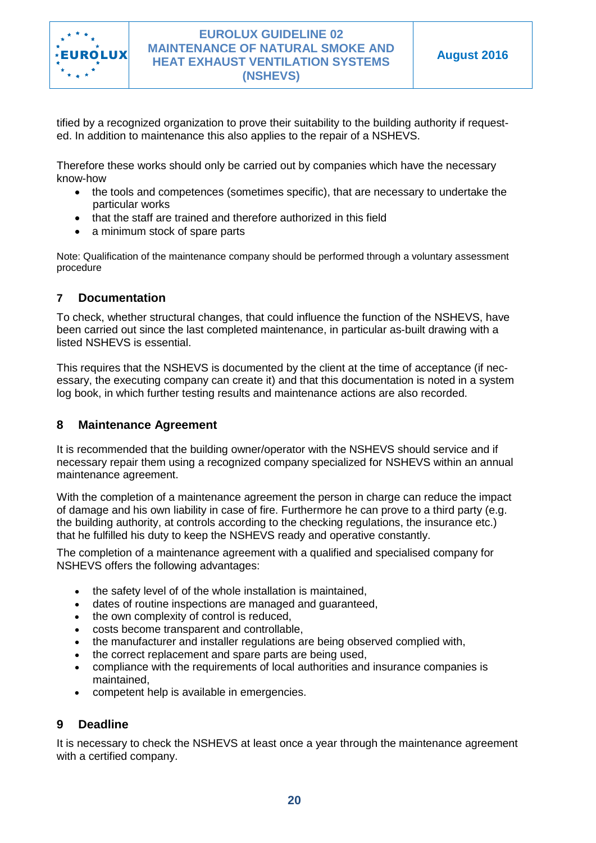

tified by a recognized organization to prove their suitability to the building authority if requested. In addition to maintenance this also applies to the repair of a NSHEVS.

Therefore these works should only be carried out by companies which have the necessary know-how

- the tools and competences (sometimes specific), that are necessary to undertake the particular works
- that the staff are trained and therefore authorized in this field
- a minimum stock of spare parts

Note: Qualification of the maintenance company should be performed through a voluntary assessment procedure

### <span id="page-19-0"></span>**7 Documentation**

To check, whether structural changes, that could influence the function of the NSHEVS, have been carried out since the last completed maintenance, in particular as-built drawing with a listed NSHEVS is essential.

This requires that the NSHEVS is documented by the client at the time of acceptance (if necessary, the executing company can create it) and that this documentation is noted in a system log book, in which further testing results and maintenance actions are also recorded.

### <span id="page-19-1"></span>**8 Maintenance Agreement**

It is recommended that the building owner/operator with the NSHEVS should service and if necessary repair them using a recognized company specialized for NSHEVS within an annual maintenance agreement.

With the completion of a maintenance agreement the person in charge can reduce the impact of damage and his own liability in case of fire. Furthermore he can prove to a third party (e.g. the building authority, at controls according to the checking regulations, the insurance etc.) that he fulfilled his duty to keep the NSHEVS ready and operative constantly.

The completion of a maintenance agreement with a qualified and specialised company for NSHEVS offers the following advantages:

- the safety level of of the whole installation is maintained.
- dates of routine inspections are managed and guaranteed,
- the own complexity of control is reduced,
- costs become transparent and controllable,
- the manufacturer and installer regulations are being observed complied with,
- the correct replacement and spare parts are being used.
- compliance with the requirements of local authorities and insurance companies is maintained,
- competent help is available in emergencies.

### <span id="page-19-2"></span>**9 Deadline**

It is necessary to check the NSHEVS at least once a year through the maintenance agreement with a certified company.